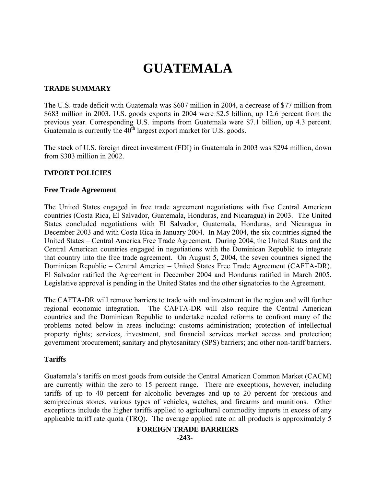# **GUATEMALA**

#### **TRADE SUMMARY**

The U.S. trade deficit with Guatemala was \$607 million in 2004, a decrease of \$77 million from \$683 million in 2003. U.S. goods exports in 2004 were \$2.5 billion, up 12.6 percent from the previous year. Corresponding U.S. imports from Guatemala were \$7.1 billion, up 4.3 percent. Guatemala is currently the  $40^{\text{th}}$  largest export market for U.S. goods.

The stock of U.S. foreign direct investment (FDI) in Guatemala in 2003 was \$294 million, down from \$303 million in 2002.

### **IMPORT POLICIES**

#### **Free Trade Agreement**

The United States engaged in free trade agreement negotiations with five Central American countries (Costa Rica, El Salvador, Guatemala, Honduras, and Nicaragua) in 2003. The United States concluded negotiations with El Salvador, Guatemala, Honduras, and Nicaragua in December 2003 and with Costa Rica in January 2004. In May 2004, the six countries signed the United States – Central America Free Trade Agreement. During 2004, the United States and the Central American countries engaged in negotiations with the Dominican Republic to integrate that country into the free trade agreement. On August 5, 2004, the seven countries signed the Dominican Republic – Central America – United States Free Trade Agreement (CAFTA-DR). El Salvador ratified the Agreement in December 2004 and Honduras ratified in March 2005. Legislative approval is pending in the United States and the other signatories to the Agreement.

The CAFTA-DR will remove barriers to trade with and investment in the region and will further regional economic integration. The CAFTA-DR will also require the Central American countries and the Dominican Republic to undertake needed reforms to confront many of the problems noted below in areas including: customs administration; protection of intellectual property rights; services, investment, and financial services market access and protection; government procurement; sanitary and phytosanitary (SPS) barriers; and other non-tariff barriers.

#### **Tariffs**

Guatemala's tariffs on most goods from outside the Central American Common Market (CACM) are currently within the zero to 15 percent range. There are exceptions, however, including tariffs of up to 40 percent for alcoholic beverages and up to 20 percent for precious and semiprecious stones, various types of vehicles, watches, and firearms and munitions. Other exceptions include the higher tariffs applied to agricultural commodity imports in excess of any applicable tariff rate quota (TRQ). The average applied rate on all products is approximately 5

#### **FOREIGN TRADE BARRIERS**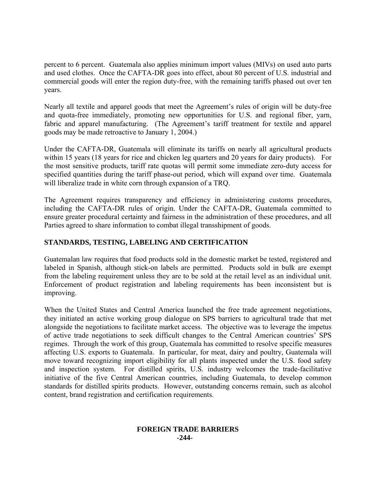percent to 6 percent. Guatemala also applies minimum import values (MIVs) on used auto parts and used clothes. Once the CAFTA-DR goes into effect, about 80 percent of U.S. industrial and commercial goods will enter the region duty-free, with the remaining tariffs phased out over ten years.

Nearly all textile and apparel goods that meet the Agreement's rules of origin will be duty-free and quota-free immediately, promoting new opportunities for U.S. and regional fiber, yarn, fabric and apparel manufacturing. (The Agreement's tariff treatment for textile and apparel goods may be made retroactive to January 1, 2004.)

Under the CAFTA-DR, Guatemala will eliminate its tariffs on nearly all agricultural products within 15 years (18 years for rice and chicken leg quarters and 20 years for dairy products). For the most sensitive products, tariff rate quotas will permit some immediate zero-duty access for specified quantities during the tariff phase-out period, which will expand over time. Guatemala will liberalize trade in white corn through expansion of a TRQ.

The Agreement requires transparency and efficiency in administering customs procedures, including the CAFTA-DR rules of origin. Under the CAFTA-DR, Guatemala committed to ensure greater procedural certainty and fairness in the administration of these procedures, and all Parties agreed to share information to combat illegal transshipment of goods.

# **STANDARDS, TESTING, LABELING AND CERTIFICATION**

Guatemalan law requires that food products sold in the domestic market be tested, registered and labeled in Spanish, although stick-on labels are permitted. Products sold in bulk are exempt from the labeling requirement unless they are to be sold at the retail level as an individual unit. Enforcement of product registration and labeling requirements has been inconsistent but is improving.

When the United States and Central America launched the free trade agreement negotiations, they initiated an active working group dialogue on SPS barriers to agricultural trade that met alongside the negotiations to facilitate market access. The objective was to leverage the impetus of active trade negotiations to seek difficult changes to the Central American countries' SPS regimes. Through the work of this group, Guatemala has committed to resolve specific measures affecting U.S. exports to Guatemala. In particular, for meat, dairy and poultry, Guatemala will move toward recognizing import eligibility for all plants inspected under the U.S. food safety and inspection system. For distilled spirits, U.S. industry welcomes the trade-facilitative initiative of the five Central American countries, including Guatemala, to develop common standards for distilled spirits products. However, outstanding concerns remain, such as alcohol content, brand registration and certification requirements.

#### **FOREIGN TRADE BARRIERS -244-**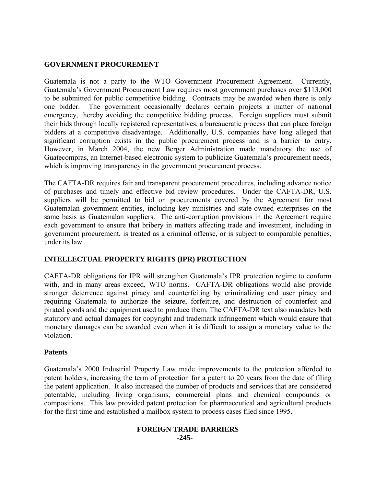## **GOVERNMENT PROCUREMENT**

Guatemala is not a party to the WTO Government Procurement Agreement. Currently, Guatemala's Government Procurement Law requires most government purchases over \$113,000 to be submitted for public competitive bidding. Contracts may be awarded when there is only one bidder. The government occasionally declares certain projects a matter of national emergency, thereby avoiding the competitive bidding process. Foreign suppliers must submit their bids through locally registered representatives, a bureaucratic process that can place foreign bidders at a competitive disadvantage. Additionally, U.S. companies have long alleged that significant corruption exists in the public procurement process and is a barrier to entry. However, in March 2004, the new Berger Administration made mandatory the use of Guatecompras, an Internet-based electronic system to publicize Guatemala's procurement needs, which is improving transparency in the government procurement process.

The CAFTA-DR requires fair and transparent procurement procedures, including advance notice of purchases and timely and effective bid review procedures. Under the CAFTA-DR, U.S. suppliers will be permitted to bid on procurements covered by the Agreement for most Guatemalan government entities, including key ministries and state-owned enterprises on the same basis as Guatemalan suppliers. The anti-corruption provisions in the Agreement require each government to ensure that bribery in matters affecting trade and investment, including in government procurement, is treated as a criminal offense, or is subject to comparable penalties, under its law.

## **INTELLECTUAL PROPERTY RIGHTS (IPR) PROTECTION**

CAFTA-DR obligations for IPR will strengthen Guatemala's IPR protection regime to conform with, and in many areas exceed, WTO norms. CAFTA-DR obligations would also provide stronger deterrence against piracy and counterfeiting by criminalizing end user piracy and requiring Guatemala to authorize the seizure, forfeiture, and destruction of counterfeit and pirated goods and the equipment used to produce them. The CAFTA-DR text also mandates both statutory and actual damages for copyright and trademark infringement which would ensure that monetary damages can be awarded even when it is difficult to assign a monetary value to the violation.

## **Patents**

Guatemala's 2000 Industrial Property Law made improvements to the protection afforded to patent holders, increasing the term of protection for a patent to 20 years from the date of filing the patent application. It also increased the number of products and services that are considered patentable, including living organisms, commercial plans and chemical compounds or compositions. This law provided patent protection for pharmaceutical and agricultural products for the first time and established a mailbox system to process cases filed since 1995.

#### **FOREIGN TRADE BARRIERS -245-**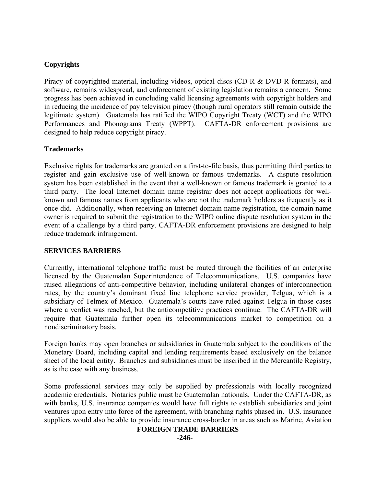# **Copyrights**

Piracy of copyrighted material, including videos, optical discs (CD-R & DVD-R formats), and software, remains widespread, and enforcement of existing legislation remains a concern. Some progress has been achieved in concluding valid licensing agreements with copyright holders and in reducing the incidence of pay television piracy (though rural operators still remain outside the legitimate system). Guatemala has ratified the WIPO Copyright Treaty (WCT) and the WIPO Performances and Phonograms Treaty (WPPT). CAFTA-DR enforcement provisions are designed to help reduce copyright piracy.

## **Trademarks**

Exclusive rights for trademarks are granted on a first-to-file basis, thus permitting third parties to register and gain exclusive use of well-known or famous trademarks. A dispute resolution system has been established in the event that a well-known or famous trademark is granted to a third party. The local Internet domain name registrar does not accept applications for wellknown and famous names from applicants who are not the trademark holders as frequently as it once did. Additionally, when receiving an Internet domain name registration, the domain name owner is required to submit the registration to the WIPO online dispute resolution system in the event of a challenge by a third party. CAFTA-DR enforcement provisions are designed to help reduce trademark infringement.

## **SERVICES BARRIERS**

Currently, international telephone traffic must be routed through the facilities of an enterprise licensed by the Guatemalan Superintendence of Telecommunications. U.S. companies have raised allegations of anti-competitive behavior, including unilateral changes of interconnection rates, by the country's dominant fixed line telephone service provider, Telgua, which is a subsidiary of Telmex of Mexico. Guatemala's courts have ruled against Telgua in those cases where a verdict was reached, but the anticompetitive practices continue. The CAFTA-DR will require that Guatemala further open its telecommunications market to competition on a nondiscriminatory basis.

Foreign banks may open branches or subsidiaries in Guatemala subject to the conditions of the Monetary Board, including capital and lending requirements based exclusively on the balance sheet of the local entity. Branches and subsidiaries must be inscribed in the Mercantile Registry, as is the case with any business.

Some professional services may only be supplied by professionals with locally recognized academic credentials. Notaries public must be Guatemalan nationals. Under the CAFTA-DR, as with banks, U.S. insurance companies would have full rights to establish subsidiaries and joint ventures upon entry into force of the agreement, with branching rights phased in. U.S. insurance suppliers would also be able to provide insurance cross-border in areas such as Marine, Aviation

#### **FOREIGN TRADE BARRIERS**